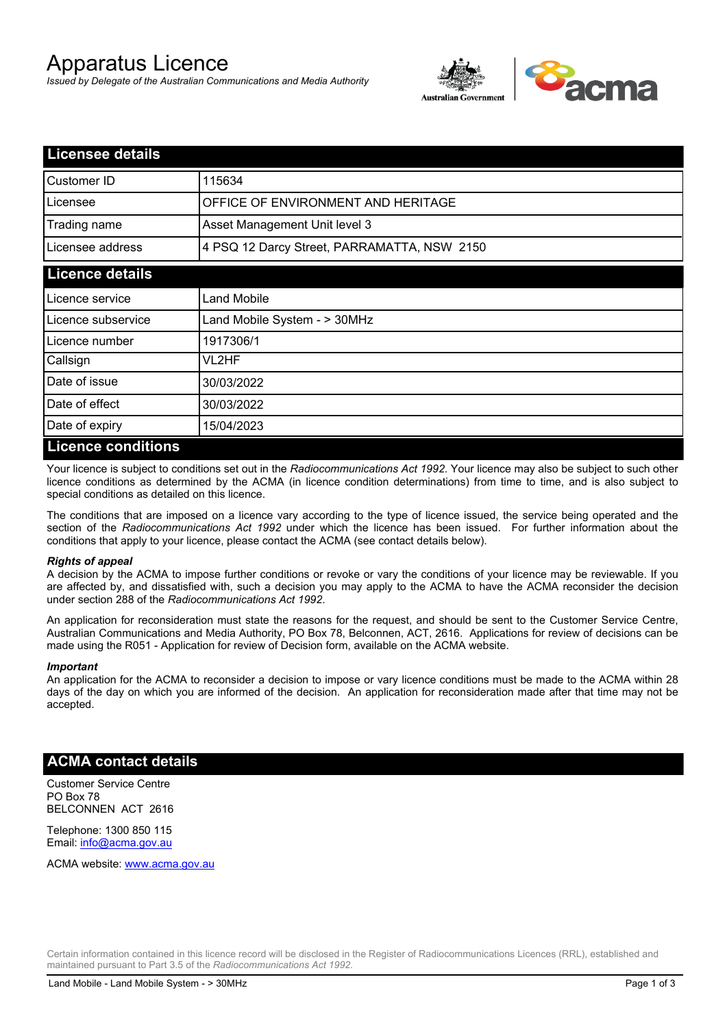# Apparatus Licence

*Issued by Delegate of the Australian Communications and Media Authority*



| <b>Licensee details</b> |                                             |  |  |  |
|-------------------------|---------------------------------------------|--|--|--|
| Customer ID             | 115634                                      |  |  |  |
| Licensee                | OFFICE OF ENVIRONMENT AND HERITAGE          |  |  |  |
| Trading name            | Asset Management Unit level 3               |  |  |  |
| Licensee address        | 4 PSQ 12 Darcy Street, PARRAMATTA, NSW 2150 |  |  |  |
| <b>Licence details</b>  |                                             |  |  |  |
| Licence service         | Land Mobile                                 |  |  |  |
| Licence subservice      | Land Mobile System - > 30MHz                |  |  |  |
| Licence number          | 1917306/1                                   |  |  |  |
| Callsign                | VL2HF                                       |  |  |  |
| Date of issue           | 30/03/2022                                  |  |  |  |
| Date of effect          | 30/03/2022                                  |  |  |  |
| Date of expiry          | 15/04/2023                                  |  |  |  |
| Licance conditions      |                                             |  |  |  |

## **Licence conditions**

Your licence is subject to conditions set out in the *Radiocommunications Act 1992*. Your licence may also be subject to such other licence conditions as determined by the ACMA (in licence condition determinations) from time to time, and is also subject to special conditions as detailed on this licence.

The conditions that are imposed on a licence vary according to the type of licence issued, the service being operated and the section of the *Radiocommunications Act 1992* under which the licence has been issued. For further information about the conditions that apply to your licence, please contact the ACMA (see contact details below).

## *Rights of appeal*

A decision by the ACMA to impose further conditions or revoke or vary the conditions of your licence may be reviewable. If you are affected by, and dissatisfied with, such a decision you may apply to the ACMA to have the ACMA reconsider the decision under section 288 of the *Radiocommunications Act 1992*.

An application for reconsideration must state the reasons for the request, and should be sent to the Customer Service Centre, Australian Communications and Media Authority, PO Box 78, Belconnen, ACT, 2616. Applications for review of decisions can be made using the R051 - Application for review of Decision form, available on the ACMA website.

#### *Important*

An application for the ACMA to reconsider a decision to impose or vary licence conditions must be made to the ACMA within 28 days of the day on which you are informed of the decision. An application for reconsideration made after that time may not be accepted.

## **ACMA contact details**

Customer Service Centre PO Box 78 BELCONNEN ACT 2616

Telephone: 1300 850 115 Email: info@acma.gov.au

ACMA website: www.acma.gov.au

Certain information contained in this licence record will be disclosed in the Register of Radiocommunications Licences (RRL), established and maintained pursuant to Part 3.5 of the *Radiocommunications Act 1992.*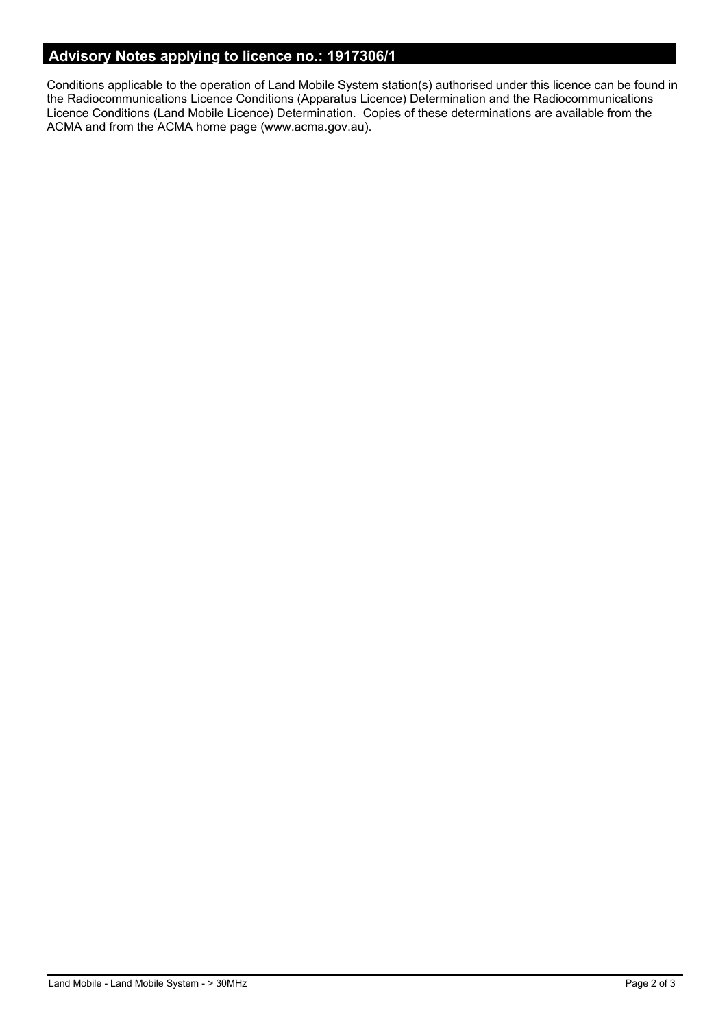# **Advisory Notes applying to licence no.: 1917306/1**

Conditions applicable to the operation of Land Mobile System station(s) authorised under this licence can be found in the Radiocommunications Licence Conditions (Apparatus Licence) Determination and the Radiocommunications Licence Conditions (Land Mobile Licence) Determination. Copies of these determinations are available from the ACMA and from the ACMA home page (www.acma.gov.au).